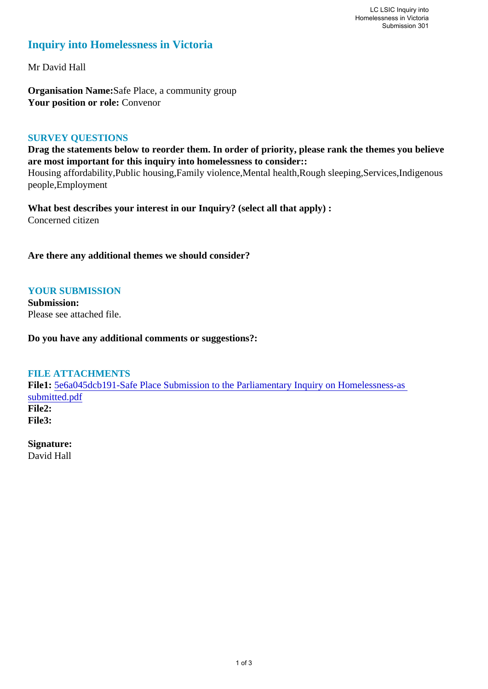## **Inquiry into Homelessness in Victoria**

Mr David Hall

**Organisation Name:**Safe Place, a community group **Your position or role:** Convenor

#### **SURVEY QUESTIONS**

**Drag the statements below to reorder them. In order of priority, please rank the themes you believe are most important for this inquiry into homelessness to consider::** 

Housing affordability,Public housing,Family violence,Mental health,Rough sleeping,Services,Indigenous people,Employment

**What best describes your interest in our Inquiry? (select all that apply) :**  Concerned citizen

**Are there any additional themes we should consider?**

### **YOUR SUBMISSION**

**Submission:**  Please see attached file.

**Do you have any additional comments or suggestions?:** 

# **FILE ATTACHMENTS**

**File1:** 5e6a045dcb191-Safe Place Submission to the Parliamentary Inquiry on Homelessness-as submitted.pdf **File2: File3:** 

**Signature:** David Hall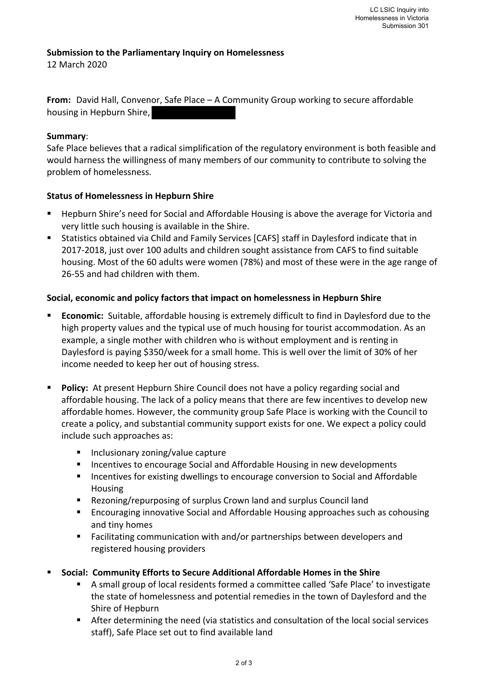#### **Submission to the Parliamentary Inquiry on Homelessness**

12 March 2020

**From:** David Hall, Convenor, Safe Place – A Community Group working to secure affordable housing in Hepburn Shire,

#### **Summary**:

Safe Place believes that a radical simplification of the regulatory environment is both feasible and would harness the willingness of many members of our community to contribute to solving the problem of homelessness.

#### **Status of Homelessness in Hepburn Shire**

- ! Hepburn Shire's need for Social and Affordable Housing is above the average for Victoria and very little such housing is available in the Shire.
- ! Statistics obtained via Child and Family Services [CAFS] staff in Daylesford indicate that in 2017-2018, just over 100 adults and children sought assistance from CAFS to find suitable housing. Most of the 60 adults were women (78%) and most of these were in the age range of 26-55 and had children with them.

#### **Social, economic and policy factors that impact on homelessness in Hepburn Shire**

- **Economic:** Suitable, affordable housing is extremely difficult to find in Daylesford due to the high property values and the typical use of much housing for tourist accommodation. As an example, a single mother with children who is without employment and is renting in Daylesford is paying \$350/week for a small home. This is well over the limit of 30% of her income needed to keep her out of housing stress.
- **Policy:** At present Hepburn Shire Council does not have a policy regarding social and affordable housing. The lack of a policy means that there are few incentives to develop new affordable homes. However, the community group Safe Place is working with the Council to create a policy, and substantial community support exists for one. We expect a policy could include such approaches as:
	- ! Inclusionary zoning/value capture
	- ! Incentives to encourage Social and Affordable Housing in new developments
	- ! Incentives for existing dwellings to encourage conversion to Social and Affordable Housing
	- Rezoning/repurposing of surplus Crown land and surplus Council land
	- **Encouraging innovative Social and Affordable Housing approaches such as cohousing** and tiny homes
	- ! Facilitating communication with and/or partnerships between developers and registered housing providers
- ! **Social: Community Efforts to Secure Additional Affordable Homes in the Shire**
	- ! A small group of local residents formed a committee called 'Safe Place' to investigate the state of homelessness and potential remedies in the town of Daylesford and the Shire of Hepburn
	- ! After determining the need (via statistics and consultation of the local social services staff), Safe Place set out to find available land